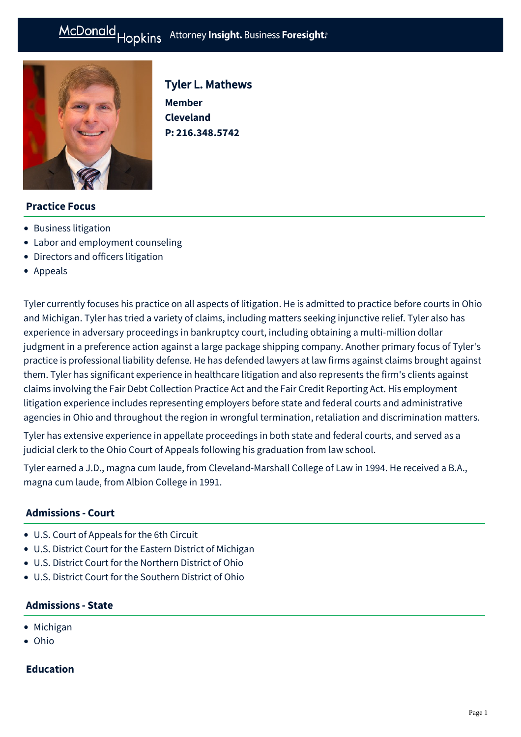# McDonald Hopkins Attorney Insight. Business Foresight:



Tyler L. Mathews **Member Cleveland** 

**P: [216.348.5742](tel:216.348.5742)**

## **Practice Focus**

- [Business litigation](https://mcdonaldhopkins.com/Expertise/Litigation/Business-litigation)
- [Labor and employment counseling](https://mcdonaldhopkins.com/Expertise/Labor-and-employment/Labor-and-employment-counseling)
- [Directors and officers litigation](https://mcdonaldhopkins.com/Expertise/Litigation/Directors-and-officers-litigation)
- [Appeals](https://mcdonaldhopkins.com/Expertise/Litigation/Appeals)

Tyler currently focuses his practice on all aspects of litigation. He is admitted to practice before courts in Ohio and Michigan. Tyler has tried a variety of claims, including matters seeking injunctive relief. Tyler also has experience in adversary proceedings in bankruptcy court, including obtaining a multi-million dollar judgment in a preference action against a large package shipping company. Another primary focus of Tyler's practice is professional liability defense. He has defended lawyers at law firms against claims brought against them. Tyler has significant experience in healthcare litigation and also represents the firm's clients against claims involving the Fair Debt Collection Practice Act and the Fair Credit Reporting Act. His employment litigation experience includes representing employers before state and federal courts and administrative agencies in Ohio and throughout the region in wrongful termination, retaliation and discrimination matters.

Tyler has extensive experience in appellate proceedings in both state and federal courts, and served as a judicial clerk to the Ohio Court of Appeals following his graduation from law school.

Tyler earned a J.D., magna cum laude, from Cleveland-Marshall College of Law in 1994. He received a B.A., magna cum laude, from Albion College in 1991.

#### **Admissions - Court**

- U.S. Court of Appeals for the 6th Circuit
- U.S. District Court for the Eastern District of Michigan
- U.S. District Court for the Northern District of Ohio
- U.S. District Court for the Southern District of Ohio

#### **Admissions - State**

- Michigan
- Ohio

#### **Education**